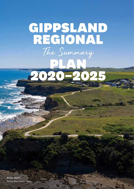# GIPPSLAND REGIONAL The Summary PLAN 2020–2025

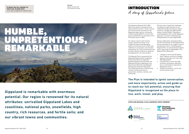The Gippsland Regional Plan 2020- 2025 is the region's strategic plan for improving the economic, social, cultural, and environmental outcomes for the Gippsland region and our community. It looks towards 2040 for its vision and goals and identifies our priorities for the coming five years to 2025.

Our region is built on the Country, culture, and lore practices of our Traditional Owners and Aboriginal people, and we have much to learn and celebrate as we progress reconciliation and healing. Our more recent history and arrivals continue to add to our diversity and Gippsland's rich cultural fabric.

The Regional Plan is auspiced by the Gippsland Regional Plan Leadership Group (Committee for Gippsland, Gippsland Regional Partnership, One Gippsland (formerly Gippsland Local Government Network), and Regional Development Australia Gippsland). The Leadership Group is a partnership initiative involving all levels of government, business, industry, and community.

During a time of significant challenge, including the rapid transition of our traditional energy and resource-based industries, drought, the 2020 bushfire season, and the COVID-19 pandemic, working together with a whole Gippsland approach is critical to achieving longlasting benefits for every Gippslander.

# HUMBLE, UNPRETENTIOUS, REMARKABI

Strong collaboration and partnerships are the cornerstones of the Regional Plan and are essential for our region to secure a prosperous future. In developing the Regional Plan, we welcomed participation from a wide range of stakeholders. The Regional Plan represents:

- Linkages to more than 50 federal, state, regional, and local strategies
- Opinions and ideas from more than 300 Gippslanders
- Consideration of more than 260 initiatives and projects identified by our community as important to Gippsland's future
- Analysis of economic, social, and environmental trends

**Gippsland is remarkable with enormous potential. Our region is renowned for its natural attributes: unrivalled Gippsland Lakes and coastlines, national parks, snowfields, high country, rich resources, and fertile soils; and our vibrant towns and communities.**

**The Plan is intended to ignite conversation, and more importantly, action and guide us to reach our full potential, ensuring that Gippsland is recognised as the place to live, work, invest, and play.**





A story of Gippsland's future INTRODUCTION

**GIPPSLAND REGIONAL PLAN LEADERSHIP GROUP MEMBERS** 





**Pictured** *Alpine National Park The Pinnacles Lookout*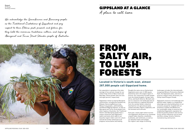**Pictured** *JM Ranger Smoking ceremony*

> Our population is growing at the state average of four percent, except for our urban fringe shires of Bass Coast and Baw Baw, whose growth rates are nine and eight percent, respectively.

Gippsland is home to several Aboriginal communities, including the Gunaikurnai, Bidawal, Bunurong/Boonwurrung, Woiwurrung peoples, Jaithmathang, and Monero/Ngarigo Nations, as well as Aboriginal and Torres Strait people from other regions of Australia. Our Traditional Owners and Aboriginal people have a unique connection with Gippsland's waters and land, which adds to our beautiful region's fabric and rich culture and will be further enhanced as we progress reconciliation and healing.

Roughly the same size as Switzerland, Gippsland covers over 41,500 square kilometres and is the largest region in Victoria. Our community includes people from the United Kingdom, Europe, Asia, Africa, and South America. We work and live in a resource-rich landscape (one of the most diverse in regional Australia) from the Latrobe Valley's industrial heartland to rich agricultural lands, coastal and lakes regions, highlands, and the forested north and east.

Each year, nearly eight million tourists visit Gippsland, attracted to our renowned unspoilt lakes, beaches, snowfields, bushlands, and rainforests, as well as our beautiful towns and villages. Our region's vast range of stunning

landscapes includes the internationally recognised Wilsons Promontory National Park, the Gippsland Lakes, and one of Victoria's largest visitor attractions, the Phillip Island Penguin Parade.

Gippsland's resource-rich landscape and plentiful water supply is a comparative advantage and a key building block of our economic prosperity. Coupled with our proximity to Sydney and Melbourne, our remarkable range of resources has established Gippsland's reputation for producing quality products and services across various industries such as food and fibre, energy, forestry, fisheries, manufacturing, and tourism.

### **Located in Victoria's south-east, almost 287,000 people call Gippsland home.**



# FROM SALTY AIR, TO LUSH FORESTS

# A place to call home GIPPSLAND AT A GLANCE

We acknowledge the GunaiKurnai and Bunurong people as the Traditional Custodians of Gippsland and pay respect to their Elders, past, present, and future, for they hold the memories, traditions, culture, and hopes of Aboriginal and Torres Strait Islander people of Australia.

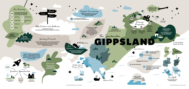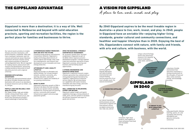Our natural assets provide an enviable lifestyle and visitor destination, with pristine beaches, snowfields, lakes and rivers, bushland, rainforests, and rich cultural and historical values. Business investment attraction remains strong with a diverse portfolio of industries calling Gippsland home. We are regarded for leading industry advancement with research and development, possessing a skilled workforce and access to local education precincts and a regional university.

#### **ENDOWED WITH NATURAL ADVANTAGES**

Our landscape and environmental values provide an enviable lifestyle and visitor destination with access to an abundance of natural resources such as timber, coal, oil, and gas.

#### **FERTILE LAND AND RELIABLE, HIGH-QUALITY WATER**

Our stable climate, high and reliable rainfall, strong stream flows, water storage, irrigation infrastructure, and fertile soils and pastures provide a natural advantage in food and fibre.

### THE GIPPSLAND ADVANTAGE

**By 2040 Gippsland aspires to be the most liveable region in Australia—a place to live, work, invest, and play. In 2040, people in Gippsland have an enviable life—enjoying higher living standards, greater cultural and community connections, and healthier and happier lifestyles than in 2020. Enjoying the best of life, Gippslanders connect with nature, with family and friends, with arts and culture, with business, with the world.**

**Gippsland is more than a destination; it is a way of life. Well connected to Melbourne and beyond with solid education precincts, sporting and recreation facilities, the region is the perfect place for families and businesses to thrive.**

A place to live, work, invest, and play

# A VISION FOR GIPPSLAND

**EXTRAORDINARY AND DIVERSE NATURAL BEAUTY A STRONG ECONOMY THAT IS INVESTMENT READY A VIBRANT PLACE WITH UNMATCHED LIFESTYLE** unique cultural heritage, world-class attractions, resource-rich, beautiful natural landscapes, clean water, and fertile a business-friendly environment that welcomes investment, a strong economy built on the strengths of food and fibre, visitor economy, energy, and knowledge economy enjoy good health, lifelong learning, sports, art, and recreation with housing affordability and genuine community connection



#### **A POWERHOUSE ENERGY PRODUCER – NOW AND INTO THE FUTURE**

A leading energy producer and extensive transmission networks. Gippsland is leading technology advancements of carbon capture and storage, wind, solar farm developments, and research and development across renewable and clean energy production.

#### **AFFORDABILITY AND A QUALITY LIFESTYLE**

Gippsland provides an affordable and quality lifestyle. Our strong transport network, excellent community, arts, sporting, education, and health infrastructure, support the liveability of our growing communities.

#### **ROOM TO GROW**

Gippsland's population growth to 2036 is forecast to be above the state average, driven by our western shires' proximity to Melbourne. Existing land use planning policies, community and transport infrastructure support and encourage population growth.

#### **OPEN FOR BUSINESS—STRONGLY SUPPORTED BY GOVERNMENT**

An 'Economic Growth Zone' has been established in Gippsland as part of the \$266 million regional economic development program. It brings together trade and investment specialists to grow Gippsland's economy, attracting new business and facilitating export opportunities.

#### **A STRONG ENGINEERING AND MANUFACTURING BASE**

Gippsland's traditional economic engine of power generation has underpinned our strong engineering and manufacturing capability, supported by an extensive service industry. We are diversifying our capabilities with waste recovery, renewable and clean energy, and niche manufacturing key focusses.

#### **WELL CONNECTED TO MELBOURNE, SYDNEY AND BEYOND**

Gippsland's global freight and logistic capabilities leverage a strong network of roads, ports, and rail systems to facilitate the efficient movement and export of goods and services.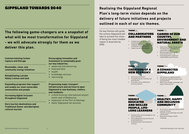# **Realising the Gippsland Regional Plan's long-term vision depends on the delivery of future initiatives and projects outlined in each of our six themes.**

**The following game-changers are a snapshot of what will be most transformative for Gippsland - we will advocate strongly for them as we deliver this plan.** 

# GIPPSLAND TOWARDS 2040

Six key themes will guide the actions Gippsland will take to achieve the vision of being the most liveable region in Australia by 2040.

**Progressing major transport infrastructure and services to open Gippsland to new business, visitors, and residents:** 

### CARERS OF OUR COUNTRY, ENVIRONMENT AND • Collaborative partnerships are **• EXTURAL ASSETS**

- a third Victorian international airport south-east of Melbourne
- expansion of the Port of Hastings
- faster Gippsland rail services

**throughout Gippsland** 



**THEME**  $\theta_{\text{ne}}$  **THEME**  $\tau_{\text{we}}$ 

**Hero tourism destinations and Traditional Owner and Aboriginal cultural tourism** 

### **Encouraging innovation and investment to sustainably grow our key industries:**  • advanced manufacturing

- food and fibre
- health
- knowledge services
- new energy

## COLLABORATORS AND PARTNERS

- representative of all Gippslanders • A globally recognised, unified, and
- competitive regional identity
	-
- Supporting decision making Addressing climate change and managing land and water for a sustainable future
	- Working together to benefit country and culture
	- Using Gippsland's resources responsibility and efficiently



#### THEME Four

THEME Six

**Increasing digital inclusion Renewable, clean, and community energy initiatives Rehabilitating Latrobe Valley's mines and land Expanding programs that support and enable our most vulnerable communities and people Commercialising Carbon Capture and Storage** 

### CREATORS OF A NEW ECONOMY

- Attracting investment Strengthening the economy and
- growing jobs
- Innovating, value-adding and boosting capacity

THEME *Five* 

### A CONNECTED GIPPSLAND

- Harnessing our digital potential
- Integrating regional transport and local planning
- World-class freight, passenger and export infrastructure



HEALTHY, HAPPY

AND INCLUSIVE COMMUNITY

- An inclusive, respectful and enriched regional lifestyle
- Towards social advantage and safer communities
- Meeting the modern health challenge

### HIGHLY EDUCATED AND SKILLED PEOPLE, LIFE-LONG LEARNERS

- 
- Encouraging life-long learning and
	-
- Building skills and knowledge for the future workforce
- removing barriers
	- Enabling flexible and responsive learning

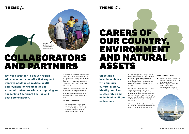We continue to learn from our Traditional Owners and Custodians as we progress joint management partnerships and other opportunities for reconciliation across our region. In partnership, we celebrate the strengths of the oldest living culture in the world.

Government, industry, education, and community groups are unified with a common purpose and resolve, working collaboratively to develop a regional strategy and advocate with a collective voice.

**We work together to deliver regionwide community benefits that support improvements in education, health, employment, environmental and economic outcomes while recognising and supporting Aboriginal healing and self-determination.**

#### **STRATEGIC DIRECTIONS**

- Collaborative partnerships are representative of all Gippslanders
- A globally recognised, unified, and competitive regional identity
- Supporting decision making

## THEME  $\mathcal{T}_{\omega\phi}$

# CARERS OF OUR COUNTRY, ENVIRONMENT AND NATURAL ASSETS

We care for Gippsland's unique natural beauty, with high-quality environmental protection, restoration, and disaster management practices that are increasingly informed by and often led by Traditional Owners and Aboriginal groups.

Our premium, clean, and green products, supported by strong water policy and forest, land, lakes, and coastal management, are in demand worldwide. Our natural assets make us a renowned eco and Traditional Owner and Aboriginal cultural tourism, food, and beverage destination.

We are transitioning to become a leader in sustainable energy and forest products and cultivating the circular economy.



**Gippsland's interdependence with our rich culture, history, identity, and health is celebrated and embedded in all our endeavours.** 

#### **STRATEGIC DIRECTIONS**

- Addressing climate change and managing land and water for a sustainable future
- Working together to benefit country and culture
- Using Gippsland's resources responsibility and efficiently



# COLLABORATORS AND PARTNERS

# THEME  $One$

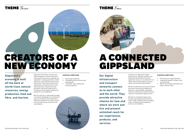Investment in Gippsland's digital infrastructure, big data research, and skills have the potential to achieve significant returns on investment for our region, with transformative economic, social, and environmental benefits.

We have established central and southern east-west connections to Melbourne, Canberra, regional NSW, and Sydney. These are serviced by Latrobe City and a network of substantial regional towns.

We have an integrated regional and transport planning framework that is future-ready, enabling and encouraging trade, environmental management, tourism, and liveability.



**Our digital infrastructure and transport networks connect us to each other and the world. They provide attractive choices for how and where we work and live and present unlimited reach for our experiences, products, and services.** 

#### **STRATEGIC DIRECTIONS**

- Harnessing our digital potential
- Integrating regional transport and local planning
- World-class freight, passenger and export infrastructure

Gippsland's \$16 billion economy has long leveraged our diverse and worldclass natural resources to underpin our reputation in energy production, timber production, food and fibre, horticulture, and tourism. These key industries are supported by strong technical service and construction, health and social assistance, and retail trade sectors forming our three largest employment segments across Gippsland.

We will continue to responsibly leverage our natural advantages as we embark on a path of innovation and investment in high-value industries to create a future economy with greater prosperity and sustainability.

**Gippsland's economy is built off the back of world-class natural resources, energy production, food and fibre, and tourism.** 

#### **STRATEGIC DIRECTIONS**

- Attracting investment
- Strengthening the economy and growing jobs
- Innovating, value-adding and boosting capacity

The Four THEME Four







# A CONNECTED GIPPSLAND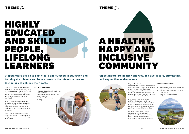Creating an environment that fosters lifelong learning and aspiration is crucial to Gippsland's future prosperity. The link between education and training, and learning attainment, health, wellbeing, and economic outcomes cannot be overstated.

Industry, business, government, and education partner to effectively position Gippsland with the skills required for the jobs of the future and as a smart community with a focus on research and innovation.

We are building a life-long learning culture that provides the opportunity for all Gippslanders to aspire to and engage in education.

**Gippslanders aspire to participate and succeed in education and training at all levels and have access to the infrastructure and technology to achieve their goals.** 

#### **STRATEGIC DIRECTIONS**

- Building skills and knowledge for the future workforce
- Encouraging life-long learning and removing barriers
- Enabling flexible and responsive learning



Gippsland aspires to be an inclusive community that welcomes and celebrates diversity. While our cultural and linguistic diversity is lower than the Victorian average, we continue to identify ways to encourage inclusiveness and derive the benefits that diversity brings to improved community health and wellbeing.

Empowering Traditional Owners and Aboriginal people in their selfdetermination activities will ensure that programs are devised and implemented by those that best understand Aboriginal people and communities themselves.

We will positively change health outcomes in the future through partnerships with local government, health agencies, Aboriginal health organisations, and community groups.

**Gippslanders are healthy and well and live in safe, stimulating, and supportive environments.**



#### **STRATEGIC DIRECTIONS**

- An inclusive, respectful and enriched regional lifestyle
- Towards social advantage and safer communities
- Meeting the modern health challenge



# A HEALTHY, HAPPY AND INCLUSIVE COMMUNITY

THEME  $F_{i\prime\ell}$  THEME  $S_{i\prime\kappa}$ 

# HIGHLY EDUCATED AND SKILLED PEOPLE, LIFELONG LEARNERS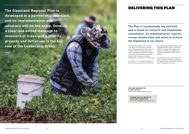**The Gippsland Regional Plan is developed in a partnership approach, and its implementation and advocacy will be the same. Sending a clear and united message to investors of Gippsland's priority projects and initiatives is the key role of the Leadership Group.**

### **The Plan is unashamedly big and bold and is based on research and stakeholder consultation. Its implementation requires strong collaboration and action to achieve the Gippsland of our future.**

The Gippsland Regional Plan strives to embrace all community members by providing opportunities that help all connect and live their best lives. We seek to provide a connection to Country, community, and cultural and sporting facilities that increase community engagement, participation, and inclusion.

**Pictured** *Lindenow Crop Harv* 

> The delivery of the Gippsland Regional Plan will be overseen and monitored by

the Leadership Group. Members of the Gippsland Regional Plan Leadership Group will engage with agents and partners to assign accountability for implementing actions in the six key themes.

The Leadership Group will report the Plan's progress annually and seek out new opportunities and projects that will help to implement the vision.

**FOR MORE INFORMATION, PLEASE CONTACT**  information.traralgon@rdv.vic.gov.au

# DELIVERING THIS PLAN

**TO READ THE FULL REPORT OF THIS PLAN, PLEASE VISIT:** rdv.vic.gov.au/gippsland-regional-plan